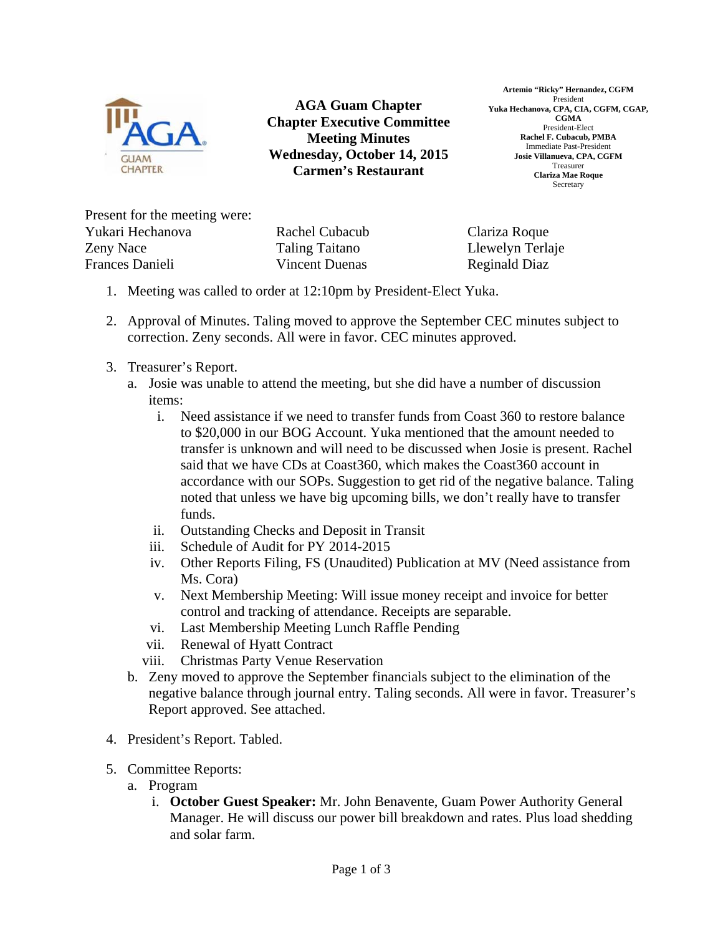

**AGA Guam Chapter Chapter Executive Committee Meeting Minutes Wednesday, October 14, 2015 Carmen's Restaurant** 

**Artemio "Ricky" Hernandez, CGFM**  President **Yuka Hechanova, CPA, CIA, CGFM, CGAP, CGMA**  President-Elect **Rachel F. Cubacub, PMBA**  Immediate Past-President **Josie Villanueva, CPA, CGFM**  Treasurer **Clariza Mae Roque**  Secretary

Present for the meeting were: Yukari Hechanova Zeny Nace Frances Danieli

Rachel Cubacub Taling Taitano Vincent Duenas

Clariza Roque Llewelyn Terlaje Reginald Diaz

- 1. Meeting was called to order at 12:10pm by President-Elect Yuka.
- 2. Approval of Minutes. Taling moved to approve the September CEC minutes subject to correction. Zeny seconds. All were in favor. CEC minutes approved.
- 3. Treasurer's Report.
	- a. Josie was unable to attend the meeting, but she did have a number of discussion items:
		- i. Need assistance if we need to transfer funds from Coast 360 to restore balance to \$20,000 in our BOG Account. Yuka mentioned that the amount needed to transfer is unknown and will need to be discussed when Josie is present. Rachel said that we have CDs at Coast360, which makes the Coast360 account in accordance with our SOPs. Suggestion to get rid of the negative balance. Taling noted that unless we have big upcoming bills, we don't really have to transfer funds.
		- ii. Outstanding Checks and Deposit in Transit
		- iii. Schedule of Audit for PY 2014-2015
		- iv. Other Reports Filing, FS (Unaudited) Publication at MV (Need assistance from Ms. Cora)
		- v. Next Membership Meeting: Will issue money receipt and invoice for better control and tracking of attendance. Receipts are separable.
		- vi. Last Membership Meeting Lunch Raffle Pending
		- vii. Renewal of Hyatt Contract
		- viii. Christmas Party Venue Reservation
	- b. Zeny moved to approve the September financials subject to the elimination of the negative balance through journal entry. Taling seconds. All were in favor. Treasurer's Report approved. See attached.
- 4. President's Report. Tabled.
- 5. Committee Reports:
	- a. Program
		- i. **October Guest Speaker:** Mr. John Benavente, Guam Power Authority General Manager. He will discuss our power bill breakdown and rates. Plus load shedding and solar farm.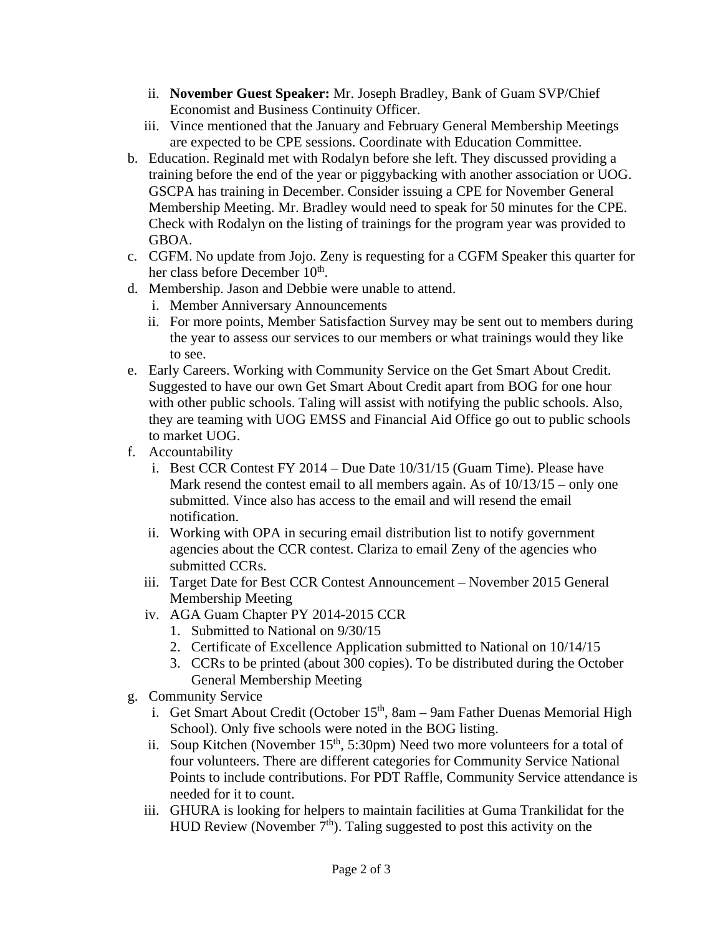- ii. **November Guest Speaker:** Mr. Joseph Bradley, Bank of Guam SVP/Chief Economist and Business Continuity Officer.
- iii. Vince mentioned that the January and February General Membership Meetings are expected to be CPE sessions. Coordinate with Education Committee.
- b. Education. Reginald met with Rodalyn before she left. They discussed providing a training before the end of the year or piggybacking with another association or UOG. GSCPA has training in December. Consider issuing a CPE for November General Membership Meeting. Mr. Bradley would need to speak for 50 minutes for the CPE. Check with Rodalyn on the listing of trainings for the program year was provided to GBOA.
- c. CGFM. No update from Jojo. Zeny is requesting for a CGFM Speaker this quarter for her class before December 10<sup>th</sup>.
- d. Membership. Jason and Debbie were unable to attend.
	- i. Member Anniversary Announcements
	- ii. For more points, Member Satisfaction Survey may be sent out to members during the year to assess our services to our members or what trainings would they like to see.
- e. Early Careers. Working with Community Service on the Get Smart About Credit. Suggested to have our own Get Smart About Credit apart from BOG for one hour with other public schools. Taling will assist with notifying the public schools. Also, they are teaming with UOG EMSS and Financial Aid Office go out to public schools to market UOG.
- f. Accountability
	- i. Best CCR Contest FY 2014 Due Date 10/31/15 (Guam Time). Please have Mark resend the contest email to all members again. As of  $10/13/15$  – only one submitted. Vince also has access to the email and will resend the email notification.
	- ii. Working with OPA in securing email distribution list to notify government agencies about the CCR contest. Clariza to email Zeny of the agencies who submitted CCRs.
	- iii. Target Date for Best CCR Contest Announcement November 2015 General Membership Meeting
	- iv. AGA Guam Chapter PY 2014-2015 CCR
		- 1. Submitted to National on 9/30/15
		- 2. Certificate of Excellence Application submitted to National on 10/14/15
		- 3. CCRs to be printed (about 300 copies). To be distributed during the October General Membership Meeting
- g. Community Service
	- i. Get Smart About Credit (October  $15<sup>th</sup>$ , 8am 9am Father Duenas Memorial High School). Only five schools were noted in the BOG listing.
	- ii. Soup Kitchen (November 15<sup>th</sup>, 5:30pm) Need two more volunteers for a total of four volunteers. There are different categories for Community Service National Points to include contributions. For PDT Raffle, Community Service attendance is needed for it to count.
	- iii. GHURA is looking for helpers to maintain facilities at Guma Trankilidat for the HUD Review (November  $7<sup>th</sup>$ ). Taling suggested to post this activity on the